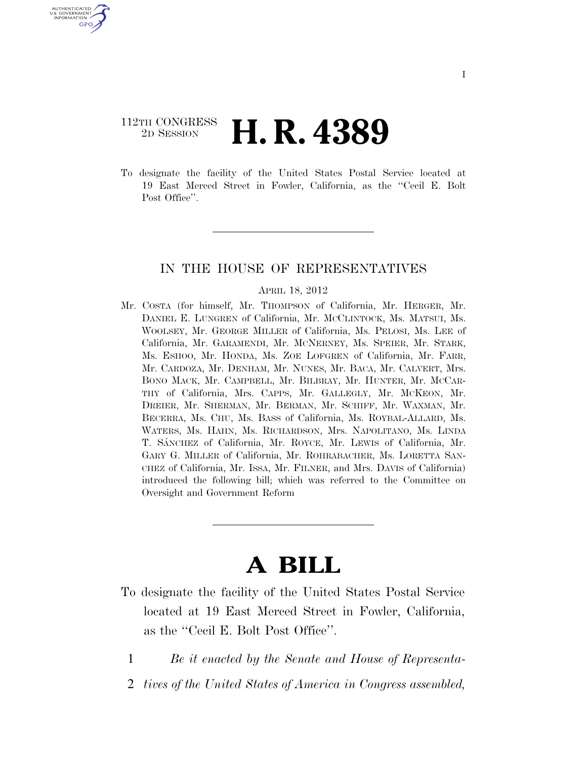# 112TH CONGRESS <sup>2D SESSION</sup> **H. R. 4389**

U.S. GOVERNMENT GPO

> To designate the facility of the United States Postal Service located at 19 East Merced Street in Fowler, California, as the ''Cecil E. Bolt Post Office".

### IN THE HOUSE OF REPRESENTATIVES

#### APRIL 18, 2012

Mr. COSTA (for himself, Mr. THOMPSON of California, Mr. HERGER, Mr. DANIEL E. LUNGREN of California, Mr. MCCLINTOCK, Ms. MATSUI, Ms. WOOLSEY, Mr. GEORGE MILLER of California, Ms. PELOSI, Ms. LEE of California, Mr. GARAMENDI, Mr. MCNERNEY, Ms. SPEIER, Mr. STARK, Ms. ESHOO, Mr. HONDA, Ms. ZOE LOFGREN of California, Mr. FARR, Mr. CARDOZA, Mr. DENHAM, Mr. NUNES, Mr. BACA, Mr. CALVERT, Mrs. BONO MACK, Mr. CAMPBELL, Mr. BILBRAY, Mr. HUNTER, Mr. MCCAR-THY of California, Mrs. CAPPS, Mr. GALLEGLY, Mr. MCKEON, Mr. DREIER, Mr. SHERMAN, Mr. BERMAN, Mr. SCHIFF, Mr. WAXMAN, Mr. BECERRA, Ms. CHU, Ms. BASS of California, Ms. ROYBAL-ALLARD, Ms. WATERS, Ms. HAHN, Ms. RICHARDSON, Mrs. NAPOLITANO, Ms. LINDA T. SA´NCHEZ of California, Mr. ROYCE, Mr. LEWIS of California, Mr. GARY G. MILLER of California, Mr. ROHRABACHER, Ms. LORETTA SAN-CHEZ of California, Mr. ISSA, Mr. FILNER, and Mrs. DAVIS of California) introduced the following bill; which was referred to the Committee on Oversight and Government Reform

# **A BILL**

- To designate the facility of the United States Postal Service located at 19 East Merced Street in Fowler, California, as the ''Cecil E. Bolt Post Office''.
	- 1 *Be it enacted by the Senate and House of Representa-*
	- 2 *tives of the United States of America in Congress assembled,*